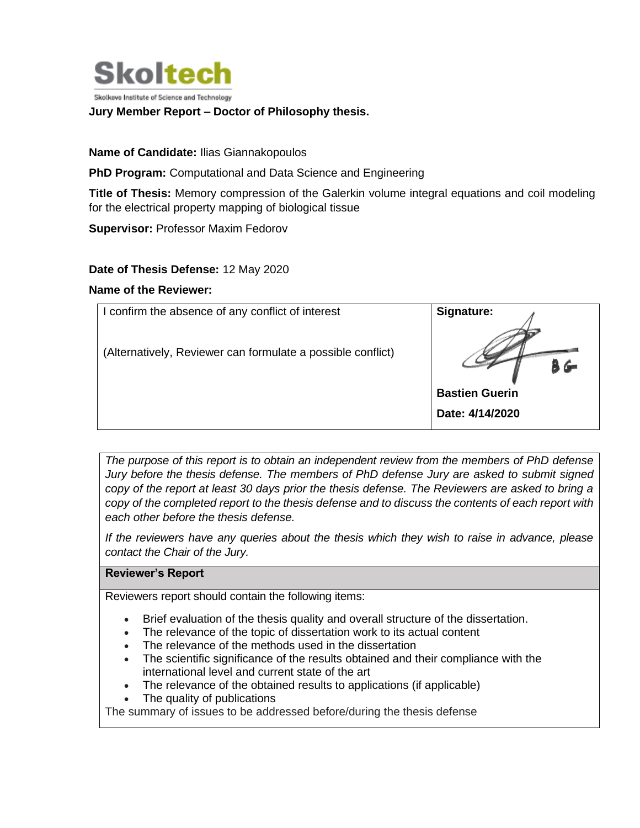

Skolkovo Institute of Science and Technology

## **Jury Member Report – Doctor of Philosophy thesis.**

**Name of Candidate:** Ilias Giannakopoulos

**PhD Program:** Computational and Data Science and Engineering

**Title of Thesis:** Memory compression of the Galerkin volume integral equations and coil modeling for the electrical property mapping of biological tissue

**Supervisor:** Professor Maxim Fedorov

**Date of Thesis Defense:** 12 May 2020

## **Name of the Reviewer:**

| I confirm the absence of any conflict of interest           | Signature:            |
|-------------------------------------------------------------|-----------------------|
| (Alternatively, Reviewer can formulate a possible conflict) |                       |
|                                                             | <b>Bastien Guerin</b> |
|                                                             | Date: 4/14/2020       |

*The purpose of this report is to obtain an independent review from the members of PhD defense Jury before the thesis defense. The members of PhD defense Jury are asked to submit signed copy of the report at least 30 days prior the thesis defense. The Reviewers are asked to bring a copy of the completed report to the thesis defense and to discuss the contents of each report with each other before the thesis defense.* 

*If the reviewers have any queries about the thesis which they wish to raise in advance, please contact the Chair of the Jury.*

## **Reviewer's Report**

Reviewers report should contain the following items:

- Brief evaluation of the thesis quality and overall structure of the dissertation.
- The relevance of the topic of dissertation work to its actual content
- The relevance of the methods used in the dissertation
- The scientific significance of the results obtained and their compliance with the international level and current state of the art
- The relevance of the obtained results to applications (if applicable)
- The quality of publications

The summary of issues to be addressed before/during the thesis defense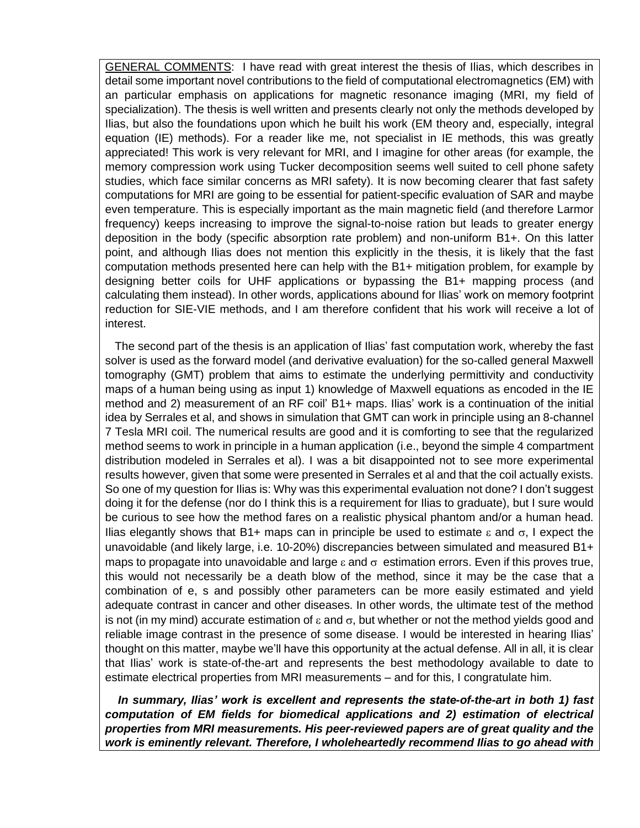GENERAL COMMENTS: I have read with great interest the thesis of Ilias, which describes in detail some important novel contributions to the field of computational electromagnetics (EM) with an particular emphasis on applications for magnetic resonance imaging (MRI, my field of specialization). The thesis is well written and presents clearly not only the methods developed by Ilias, but also the foundations upon which he built his work (EM theory and, especially, integral equation (IE) methods). For a reader like me, not specialist in IE methods, this was greatly appreciated! This work is very relevant for MRI, and I imagine for other areas (for example, the memory compression work using Tucker decomposition seems well suited to cell phone safety studies, which face similar concerns as MRI safety). It is now becoming clearer that fast safety computations for MRI are going to be essential for patient-specific evaluation of SAR and maybe even temperature. This is especially important as the main magnetic field (and therefore Larmor frequency) keeps increasing to improve the signal-to-noise ration but leads to greater energy deposition in the body (specific absorption rate problem) and non-uniform B1+. On this latter point, and although Ilias does not mention this explicitly in the thesis, it is likely that the fast computation methods presented here can help with the B1+ mitigation problem, for example by designing better coils for UHF applications or bypassing the B1+ mapping process (and calculating them instead). In other words, applications abound for Ilias' work on memory footprint reduction for SIE-VIE methods, and I am therefore confident that his work will receive a lot of interest.

 The second part of the thesis is an application of Ilias' fast computation work, whereby the fast solver is used as the forward model (and derivative evaluation) for the so-called general Maxwell tomography (GMT) problem that aims to estimate the underlying permittivity and conductivity maps of a human being using as input 1) knowledge of Maxwell equations as encoded in the IE method and 2) measurement of an RF coil' B1+ maps. Ilias' work is a continuation of the initial idea by Serrales et al, and shows in simulation that GMT can work in principle using an 8-channel 7 Tesla MRI coil. The numerical results are good and it is comforting to see that the regularized method seems to work in principle in a human application (i.e., beyond the simple 4 compartment distribution modeled in Serrales et al). I was a bit disappointed not to see more experimental results however, given that some were presented in Serrales et al and that the coil actually exists. So one of my question for Ilias is: Why was this experimental evaluation not done? I don't suggest doing it for the defense (nor do I think this is a requirement for Ilias to graduate), but I sure would be curious to see how the method fares on a realistic physical phantom and/or a human head. Ilias elegantly shows that B1+ maps can in principle be used to estimate  $\varepsilon$  and  $\sigma$ , I expect the unavoidable (and likely large, i.e. 10-20%) discrepancies between simulated and measured B1+ maps to propagate into unavoidable and large  $\varepsilon$  and  $\sigma$  estimation errors. Even if this proves true, this would not necessarily be a death blow of the method, since it may be the case that a combination of e, s and possibly other parameters can be more easily estimated and yield adequate contrast in cancer and other diseases. In other words, the ultimate test of the method is not (in my mind) accurate estimation of  $\varepsilon$  and  $\sigma$ , but whether or not the method yields good and reliable image contrast in the presence of some disease. I would be interested in hearing Ilias' thought on this matter, maybe we'll have this opportunity at the actual defense. All in all, it is clear that Ilias' work is state-of-the-art and represents the best methodology available to date to estimate electrical properties from MRI measurements – and for this, I congratulate him.

 *In summary, Ilias' work is excellent and represents the state-of-the-art in both 1) fast computation of EM fields for biomedical applications and 2) estimation of electrical properties from MRI measurements. His peer-reviewed papers are of great quality and the work is eminently relevant. Therefore, I wholeheartedly recommend Ilias to go ahead with*